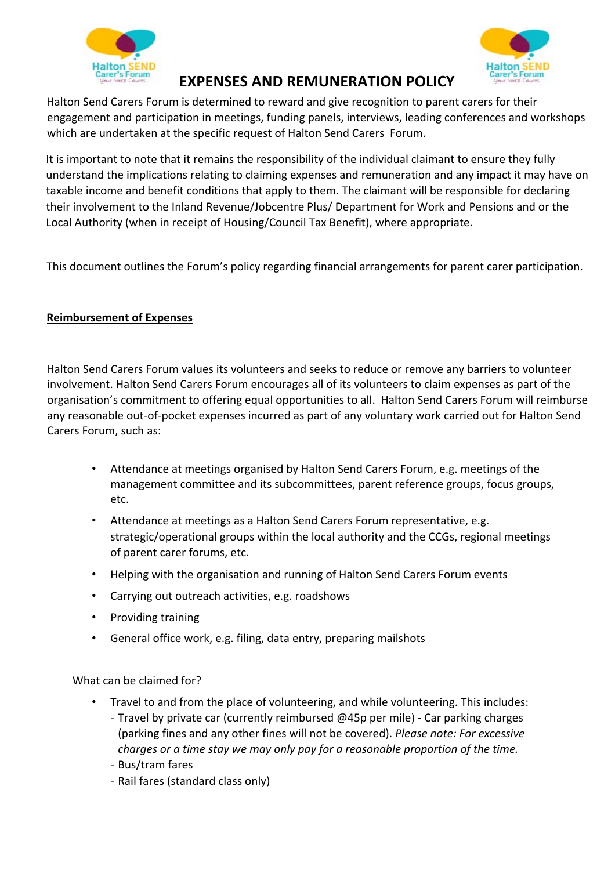



# **EXPENSES AND REMUNERATION POLICY**

Halton Send Carers Forum is determined to reward and give recognition to parent carers for their engagement and participation in meetings, funding panels, interviews, leading conferences and workshops which are undertaken at the specific request of Halton Send Carers Forum.

It is important to note that it remains the responsibility of the individual claimant to ensure they fully understand the implications relating to claiming expenses and remuneration and any impact it may have on taxable income and benefit conditions that apply to them. The claimant will be responsible for declaring their involvement to the Inland Revenue/Jobcentre Plus/ Department for Work and Pensions and or the Local Authority (when in receipt of Housing/Council Tax Benefit), where appropriate.

This document outlines the Forum's policy regarding financial arrangements for parent carer participation.

## **Reimbursement of Expenses**

Halton Send Carers Forum values its volunteers and seeks to reduce or remove any barriers to volunteer involvement. Halton Send Carers Forum encourages all of its volunteers to claim expenses as part of the organisation's commitment to offering equal opportunities to all. Halton Send Carers Forum will reimburse any reasonable out-of-pocket expenses incurred as part of any voluntary work carried out for Halton Send Carers Forum, such as:

- Attendance at meetings organised by Halton Send Carers Forum, e.g. meetings of the management committee and its subcommittees, parent reference groups, focus groups, etc.
- Attendance at meetings as a Halton Send Carers Forum representative, e.g. strategic/operational groups within the local authority and the CCGs, regional meetings of parent carer forums, etc.
- Helping with the organisation and running of Halton Send Carers Forum events
- Carrying out outreach activities, e.g. roadshows
- Providing training
- General office work, e.g. filing, data entry, preparing mailshots

### What can be claimed for?

- Travel to and from the place of volunteering, and while volunteering. This includes: - Travel by private car (currently reimbursed  $\omega$ 45p per mile) - Car parking charges
	- (parking fines and any other fines will not be covered). *Please note: For excessive charges* or a time stay we may only pay for a reasonable proportion of the time.
	- Bus/tram fares
	- Rail fares (standard class only)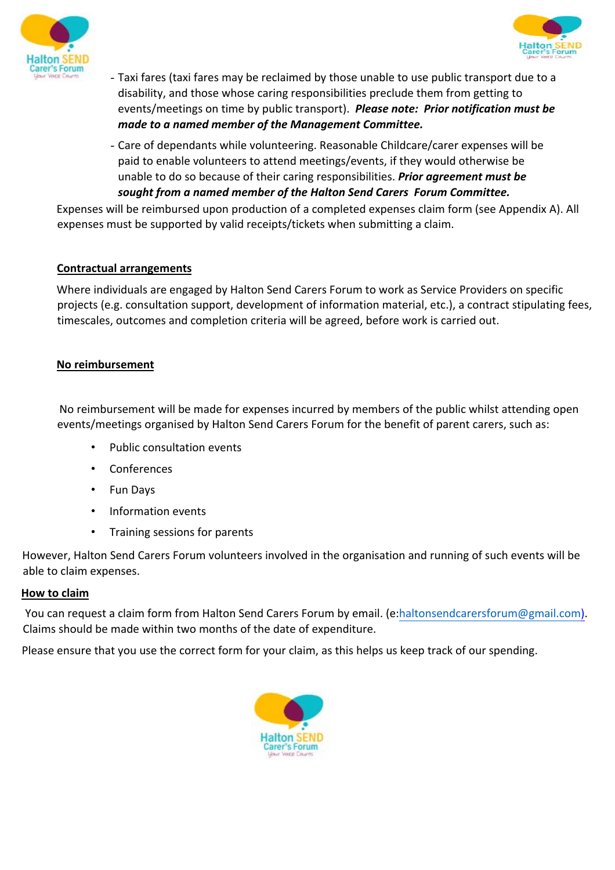



- Taxi fares (taxi fares may be reclaimed by those unable to use public transport due to a disability, and those whose caring responsibilities preclude them from getting to events/meetings on time by public transport). *Please note: Prior notification must be made to a named member of the Management Committee.*
- Care of dependants while volunteering. Reasonable Childcare/carer expenses will be paid to enable volunteers to attend meetings/events, if they would otherwise be unable to do so because of their caring responsibilities. *Prior gareement must be sought from a named member of the Halton Send Carers Forum Committee.*

Expenses will be reimbursed upon production of a completed expenses claim form (see Appendix A). All expenses must be supported by valid receipts/tickets when submitting a claim.

### **Contractual arrangements**

Where individuals are engaged by Halton Send Carers Forum to work as Service Providers on specific projects (e.g. consultation support, development of information material, etc.), a contract stipulating fees, timescales, outcomes and completion criteria will be agreed, before work is carried out.

### **No reimbursement**

No reimbursement will be made for expenses incurred by members of the public whilst attending open events/meetings organised by Halton Send Carers Forum for the benefit of parent carers, such as:

- Public consultation events
- Conferences
- Fun Days
- Information events
- Training sessions for parents

However, Halton Send Carers Forum volunteers involved in the organisation and running of such events will be able to claim expenses.

### **How to claim**

You can request a claim form from Halton Send Carers Forum by email. (e:haltonsendcarersforum@gmail.com). Claims should be made within two months of the date of expenditure.

Please ensure that you use the correct form for your claim, as this helps us keep track of our spending.